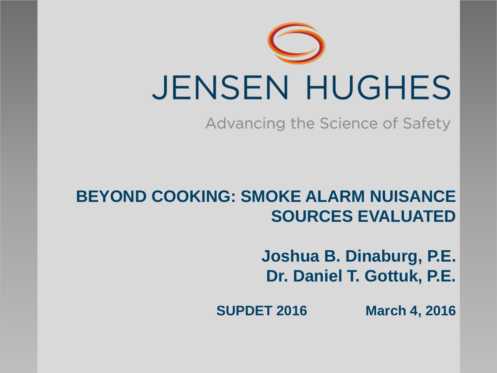

Advancing the Science of Safety

### **BEYOND COOKING: SMOKE ALARM NUISANCE SOURCES EVALUATED**

**Joshua B. Dinaburg, P.E. Dr. Daniel T. Gottuk, P.E.**

**SUPDET 2016 March 4, 2016**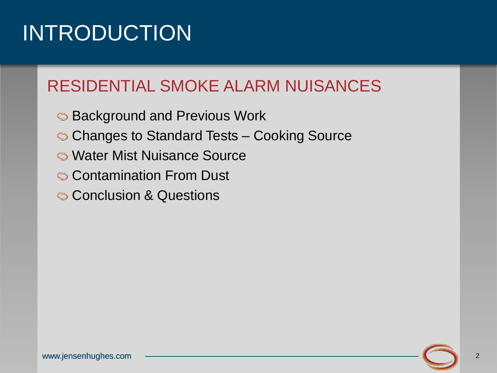### INTRODUCTION

### RESIDENTIAL SMOKE ALARM NUISANCES

- **S** Background and Previous Work
- Changes to Standard Tests Cooking Source
- Water Mist Nuisance Source
- **Contamination From Dust**
- **S** Conclusion & Questions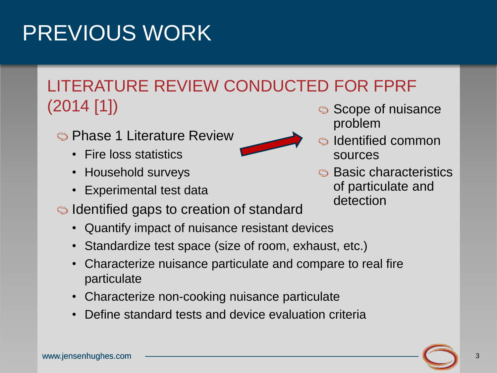### PREVIOUS WORK

### LITERATURE REVIEW CONDUCTED FOR FPRF (2014 [1])

- Phase 1 Literature Review
	- Fire loss statistics
	- Household surveys
	- Experimental test data
- Identified gaps to creation of standard
	- Quantify impact of nuisance resistant devices
	- Standardize test space (size of room, exhaust, etc.)
	- Characterize nuisance particulate and compare to real fire particulate
	- Characterize non-cooking nuisance particulate
	- Define standard tests and device evaluation criteria
- Scope of nuisance problem
- Identified common sources
- **S** Basic characteristics of particulate and detection

3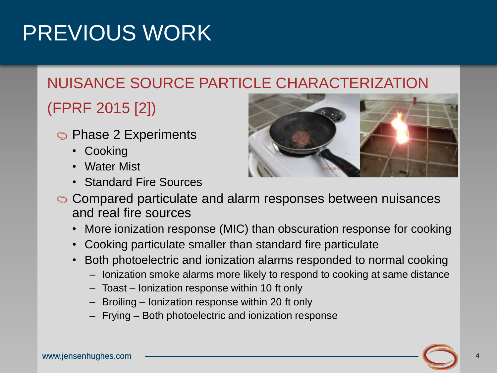### PREVIOUS WORK

### NUISANCE SOURCE PARTICLE CHARACTERIZATION

### (FPRF 2015 [2])

- **S** Phase 2 Experiments
	- Cooking
	- Water Mist
	- Standard Fire Sources



- Compared particulate and alarm responses between nuisances and real fire sources
	- More ionization response (MIC) than obscuration response for cooking
	- Cooking particulate smaller than standard fire particulate
	- Both photoelectric and ionization alarms responded to normal cooking
		- Ionization smoke alarms more likely to respond to cooking at same distance
		- Toast Ionization response within 10 ft only
		- Broiling Ionization response within 20 ft only
		- Frying Both photoelectric and ionization response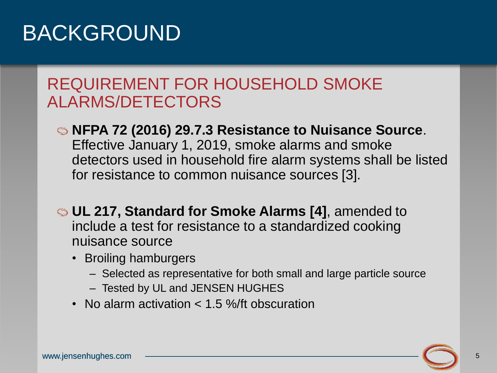### BACKGROUND

#### REQUIREMENT FOR HOUSEHOLD SMOKE ALARMS/DETECTORS

- **NFPA 72 (2016) 29.7.3 Resistance to Nuisance Source**. Effective January 1, 2019, smoke alarms and smoke detectors used in household fire alarm systems shall be listed for resistance to common nuisance sources [3].
- **UL 217, Standard for Smoke Alarms [4]**, amended to include a test for resistance to a standardized cooking nuisance source
	- Broiling hamburgers
		- Selected as representative for both small and large particle source
		- Tested by UL and JENSEN HUGHES
	- No alarm activation < 1.5 %/ft obscuration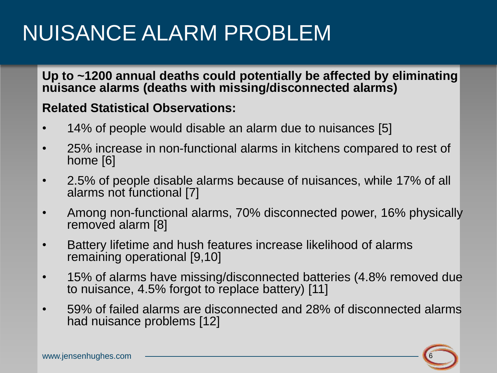### NUISANCE ALARM PROBLEM

**Up to ~1200 annual deaths could potentially be affected by eliminating nuisance alarms (deaths with missing/disconnected alarms)**

#### **Related Statistical Observations:**

- 14% of people would disable an alarm due to nuisances [5]
- 25% increase in non-functional alarms in kitchens compared to rest of home [6]
- 2.5% of people disable alarms because of nuisances, while 17% of all alarms not functional [7]
- Among non-functional alarms, 70% disconnected power, 16% physically removed alarm [8]
- Battery lifetime and hush features increase likelihood of alarms remaining operational [9,10]
- 15% of alarms have missing/disconnected batteries (4.8% removed due to nuisance, 4.5% forgot to replace battery) [11]
- 59% of failed alarms are disconnected and 28% of disconnected alarms had nuisance problems [12]

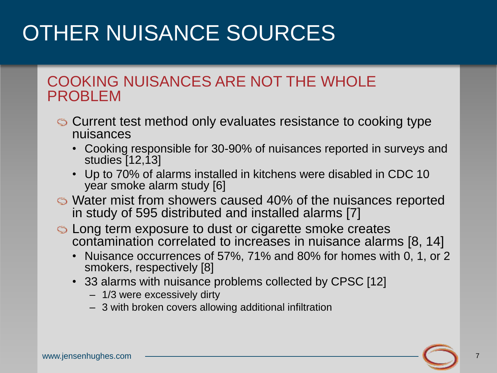# OTHER NUISANCE SOURCES

#### COOKING NUISANCES ARE NOT THE WHOLE PROBLEM

- Current test method only evaluates resistance to cooking type nuisances
	- Cooking responsible for 30-90% of nuisances reported in surveys and studies [12,13]
	- Up to 70% of alarms installed in kitchens were disabled in CDC 10 year smoke alarm study [6]
- Water mist from showers caused 40% of the nuisances reported in study of 595 distributed and installed alarms [7]
- **S** Long term exposure to dust or cigarette smoke creates contamination correlated to increases in nuisance alarms [8, 14]
	- Nuisance occurrences of 57%, 71% and 80% for homes with 0, 1, or 2 smokers, respectively [8]
	- 33 alarms with nuisance problems collected by CPSC [12]
		- 1/3 were excessively dirty
		- 3 with broken covers allowing additional infiltration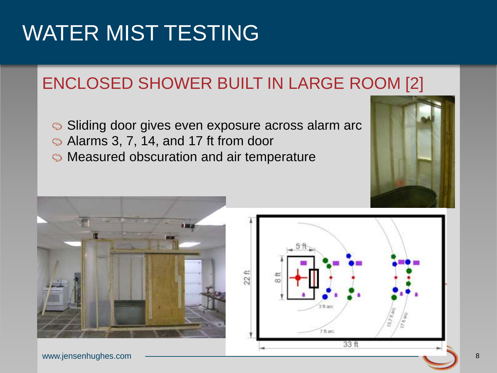### ENCLOSED SHOWER BUILT IN LARGE ROOM [2]

- Sliding door gives even exposure across alarm arc
- Alarms 3, 7, 14, and 17 ft from door
- Measured obscuration and air temperature





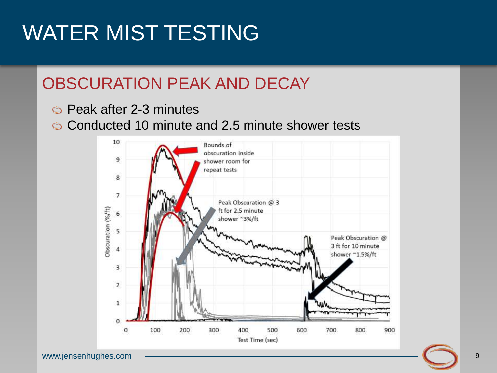#### OBSCURATION PEAK AND DECAY

- Peak after 2-3 minutes
- Conducted 10 minute and 2.5 minute shower tests

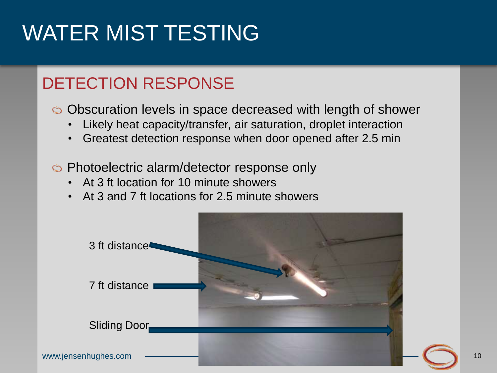### DETECTION RESPONSE

Obscuration levels in space decreased with length of shower

- Likely heat capacity/transfer, air saturation, droplet interaction
- Greatest detection response when door opened after 2.5 min
- Photoelectric alarm/detector response only
	- At 3 ft location for 10 minute showers
	- At 3 and 7 ft locations for 2.5 minute showers

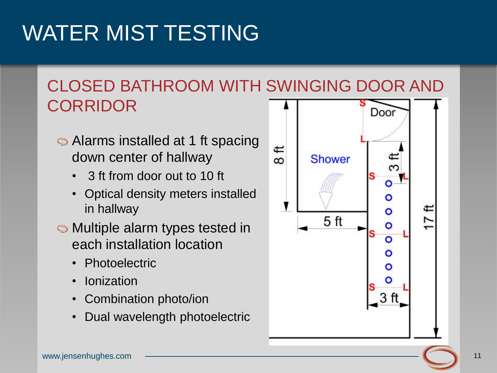#### CLOSED BATHROOM WITH SWINGING DOOR AND CORRIDOR Door

- Alarms installed at 1 ft spacing down center of hallway
	- 3 ft from door out to 10 ft
	- Optical density meters installed in hallway
- Multiple alarm types tested in each installation location
	- Photoelectric
	- **Ionization**
	- Combination photo/ion
	- Dual wavelength photoelectric

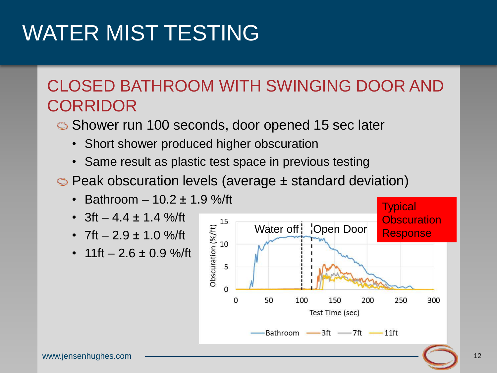#### CLOSED BATHROOM WITH SWINGING DOOR AND **CORRIDOR**

- Shower run 100 seconds, door opened 15 sec later
	- Short shower produced higher obscuration
	- Same result as plastic test space in previous testing
- Peak obscuration levels (average ± standard deviation)
	- Bathroom  $-10.2 \pm 1.9$  %/ft
	- 3ft 4.4  $\pm$  1.4 %/ft
	- 7ft  $-2.9 \pm 1.0$  %/ft
	- $11$ ft  $2.6 \pm 0.9$  %/ft

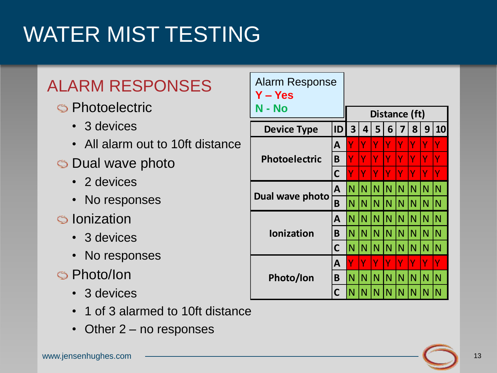### ALARM RESPONSES

#### **S** Photoelectric

- 3 devices
- All alarm out to 10ft distance
- Dual wave photo
	- 2 devices
	- No responses
- Ionization
	- 3 devices
	- No responses
- Photo/Ion
	- 3 devices
	- 1 of 3 alarmed to 10ft distance
	-

| <b>ARM RESPONSES</b>              | <b>Alarm Response</b><br>Y – Yes                                          |              |                |               |                |                         |                |               |              |     |  |
|-----------------------------------|---------------------------------------------------------------------------|--------------|----------------|---------------|----------------|-------------------------|----------------|---------------|--------------|-----|--|
| <b>Photoelectric</b>              | N - No                                                                    |              |                | Distance (ft) |                |                         |                |               |              |     |  |
| • 3 devices                       | <b>Device Type</b>                                                        | ID           | 3 <sup>1</sup> | 4             | 5 <sup>1</sup> | 6 <sup>1</sup>          | 7              | 8             | 9            | 10  |  |
| • All alarm out to 10ft distance  | <b>Photoelectric</b><br>Dual wave photo<br><b>Ionization</b><br>Photo/Ion | A            |                | Υ             | Υ              |                         | Y              |               |              |     |  |
| Dual wave photo                   |                                                                           | B            |                | Y             | Y              | Y                       | Ÿ              |               | Y            |     |  |
| • 2 devices                       |                                                                           | C            |                | Υ             | Y              | Ÿ                       | Y              | Ÿ             | Ÿ            | Ÿ   |  |
|                                   |                                                                           | A            | IN I           | N             | $\mathsf{N}$   | $\mathsf{N}$            | $\overline{N}$ | N             | N            | N   |  |
| • No responses                    |                                                                           | B            | IN.            | N             | $\mathsf{N}$   | N                       | $\mathsf{N}$   | N             | N            |     |  |
| Ionization                        |                                                                           | A            | IN IN IN       |               |                | IN.                     | IN             | $\mathsf N$   | N            | IN  |  |
| • 3 devices                       |                                                                           | B            | $N$ $N$ $N$    |               |                | $\lfloor N \rfloor N$   |                | IN.           | $\mathsf{N}$ | IN. |  |
| • No responses                    |                                                                           | $\mathsf{C}$ | $N$ $N$ $N$    |               |                | $\overline{\mathsf{N}}$ | $\mathsf{N}$   | IN.           | N.           | IN  |  |
|                                   |                                                                           | A            |                | Υ             | Y              |                         |                |               |              |     |  |
| Photo/Ion                         |                                                                           | B            | $N$ $N$ $N$    |               |                | $\overline{\mathsf{N}}$ | N.             | $\mathsf{IN}$ | N            | IN  |  |
| • 3 devices                       |                                                                           | C            | IN I           | N             |                | N                       |                |               | N            | IN. |  |
| • 1 of 3 alarmed to 10ft distance |                                                                           |              |                |               |                |                         |                |               |              |     |  |
| • Other 2 – no responses          |                                                                           |              |                |               |                |                         |                |               |              |     |  |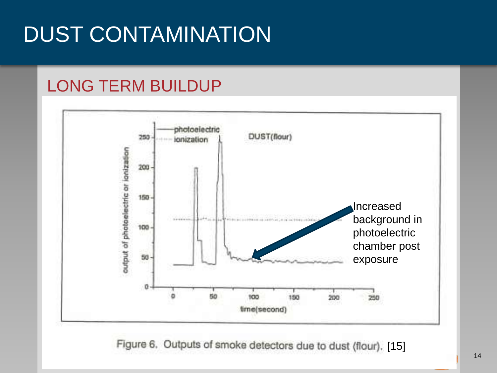# DUST CONTAMINATION

#### LONG TERM BUILDUP



Figure 6. Outputs of smoke detectors due to dust (flour). [15]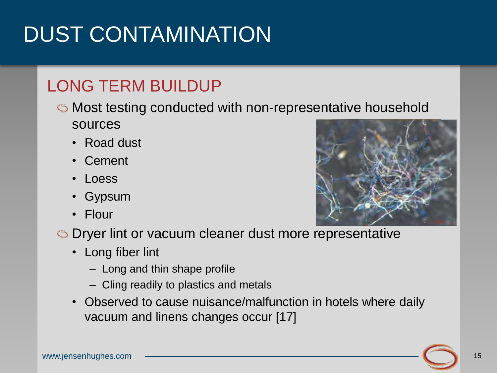# DUST CONTAMINATION

### LONG TERM BUILDUP

- Most testing conducted with non-representative household sources
	- Road dust
	- Cement
	- Loess
	- Gypsum
	- Flour



- Dryer lint or vacuum cleaner dust more representative
	- Long fiber lint
		- Long and thin shape profile
		- Cling readily to plastics and metals
	- Observed to cause nuisance/malfunction in hotels where daily vacuum and linens changes occur [17]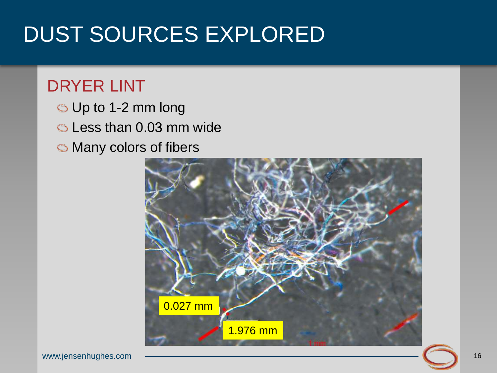### DUST SOURCES EXPLORED

#### DRYER LINT

- Up to 1-2 mm long
- Less than 0.03 mm wide
- Many colors of fibers

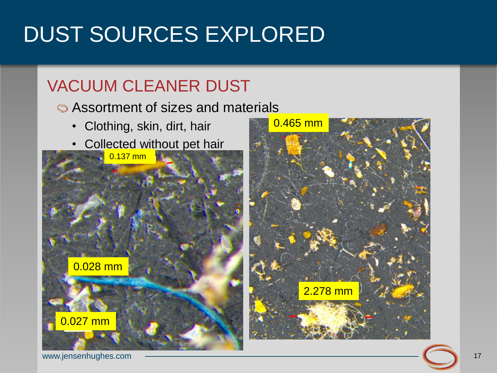# DUST SOURCES EXPLORED

### VACUUM CLEANER DUST

Assortment of sizes and materials

- Clothing, skin, dirt, hair
- Collected without pet hair





www.jensenhughes.com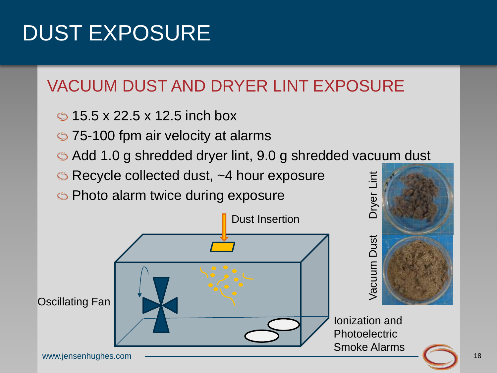### VACUUM DUST AND DRYER LINT EXPOSURE

- $\circ$  15.5 x 22.5 x 12.5 inch box
- 75-100 fpm air velocity at alarms
- Add 1.0 g shredded dryer lint, 9.0 g shredded vacuum dust
- Recycle collected dust, ~4 hour exposure
- **S** Photo alarm twice during exposure

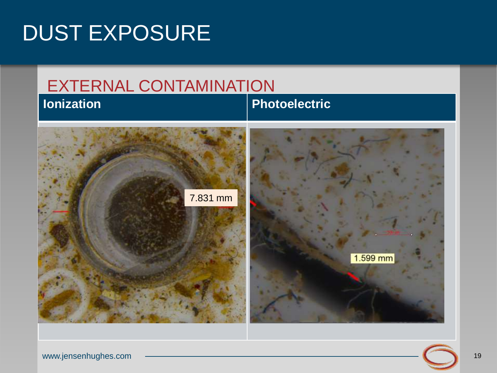![](_page_18_Figure_1.jpeg)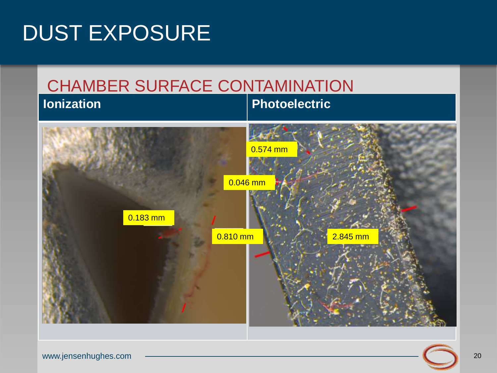![](_page_19_Figure_1.jpeg)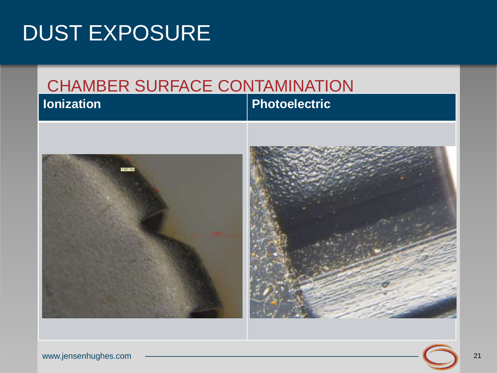#### CHAMBER SURFACE CONTAMINATION **Value 20 Ionization Photoelectric**

![](_page_20_Picture_2.jpeg)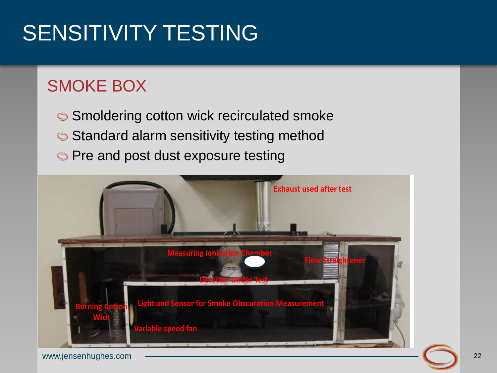# SENSITIVITY TESTING

### SMOKE BOX

Smoldering cotton wick recirculated smoke Standard alarm sensitivity testing method **S** Pre and post dust exposure testing

![](_page_21_Picture_3.jpeg)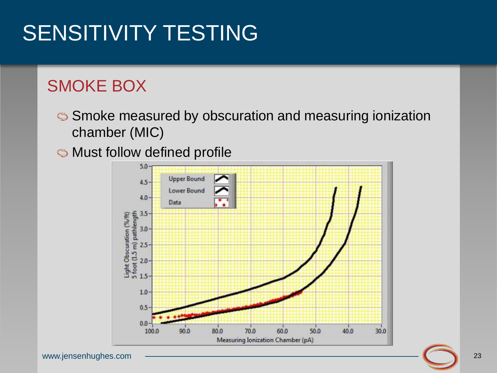# SENSITIVITY TESTING

### SMOKE BOX

Smoke measured by obscuration and measuring ionization chamber (MIC)

Must follow defined profile

![](_page_22_Figure_4.jpeg)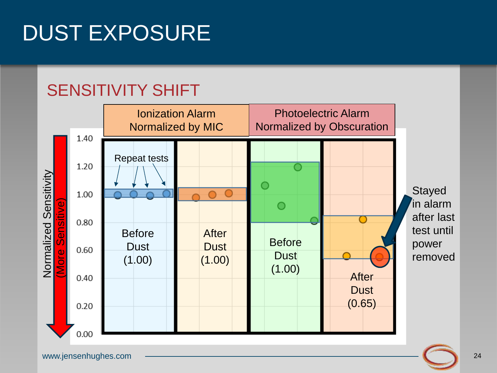#### SENSITIVITY SHIFT

![](_page_23_Figure_2.jpeg)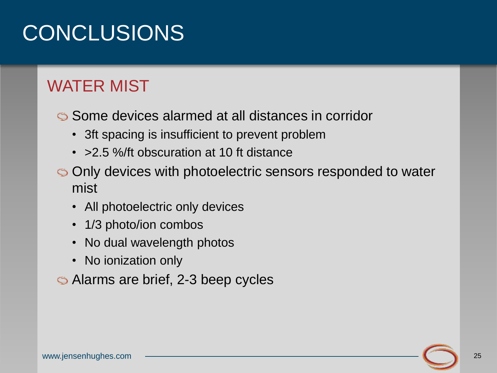### CONCLUSIONS

#### WATER MIST

Some devices alarmed at all distances in corridor

- 3ft spacing is insufficient to prevent problem
- > 2.5 %/ft obscuration at 10 ft distance
- Only devices with photoelectric sensors responded to water mist
	- All photoelectric only devices
	- 1/3 photo/ion combos
	- No dual wavelength photos
	- No ionization only

Alarms are brief, 2-3 beep cycles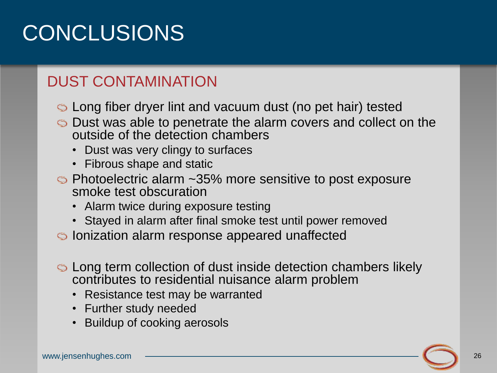### CONCLUSIONS

#### DUST CONTAMINATION

- Long fiber dryer lint and vacuum dust (no pet hair) tested
- Dust was able to penetrate the alarm covers and collect on the outside of the detection chambers
	- Dust was very clingy to surfaces
	- Fibrous shape and static
- Photoelectric alarm ~35% more sensitive to post exposure smoke test obscuration
	- Alarm twice during exposure testing
	- Stayed in alarm after final smoke test until power removed
- Ionization alarm response appeared unaffected
- Long term collection of dust inside detection chambers likely contributes to residential nuisance alarm problem
	- Resistance test may be warranted
	- Further study needed
	- Buildup of cooking aerosols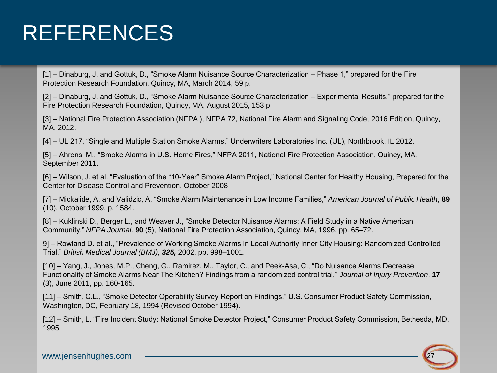### REFERENCES

[1] – Dinaburg, J. and Gottuk, D., "Smoke Alarm Nuisance Source Characterization – Phase 1," prepared for the Fire Protection Research Foundation, Quincy, MA, March 2014, 59 p.

[2] – Dinaburg, J. and Gottuk, D., "Smoke Alarm Nuisance Source Characterization – Experimental Results," prepared for the Fire Protection Research Foundation, Quincy, MA, August 2015, 153 p

[3] – National Fire Protection Association (NFPA ), NFPA 72, National Fire Alarm and Signaling Code, 2016 Edition, Quincy, MA, 2012.

[4] – UL 217, "Single and Multiple Station Smoke Alarms," Underwriters Laboratories Inc. (UL), Northbrook, IL 2012.

[5] – Ahrens, M., "Smoke Alarms in U.S. Home Fires," NFPA 2011, National Fire Protection Association, Quincy, MA, September 2011.

[6] – Wilson, J. et al. "Evaluation of the "10-Year" Smoke Alarm Project," National Center for Healthy Housing, Prepared for the Center for Disease Control and Prevention, October 2008

[7] – Mickalide, A. and Validzic, A, "Smoke Alarm Maintenance in Low Income Families," *American Journal of Public Health*, **89** (10), October 1999, p. 1584.

[8] – Kuklinski D., Berger L., and Weaver J., "Smoke Detector Nuisance Alarms: A Field Study in a Native American Community," *NFPA Journal,* **90** (5), National Fire Protection Association, Quincy, MA, 1996, pp. 65–72.

9] – Rowland D. et al., "Prevalence of Working Smoke Alarms In Local Authority Inner City Housing: Randomized Controlled Trial," *British Medical Journal (BMJ), 325,* 2002, pp. 998–1001.

[10] – Yang, J., Jones, M.P., Cheng, G., Ramirez, M., Taylor, C., and Peek-Asa, C., "Do Nuisance Alarms Decrease Functionality of Smoke Alarms Near The Kitchen? Findings from a randomized control trial," *Journal of Injury Prevention*, **17**  (3), June 2011, pp. 160-165.

[11] – Smith, C.L., "Smoke Detector Operability Survey Report on Findings," U.S. Consumer Product Safety Commission, Washington, DC, February 18, 1994 (Revised October 1994).

[12] – Smith, L. "Fire Incident Study: National Smoke Detector Project," Consumer Product Safety Commission, Bethesda, MD, 1995

![](_page_26_Picture_13.jpeg)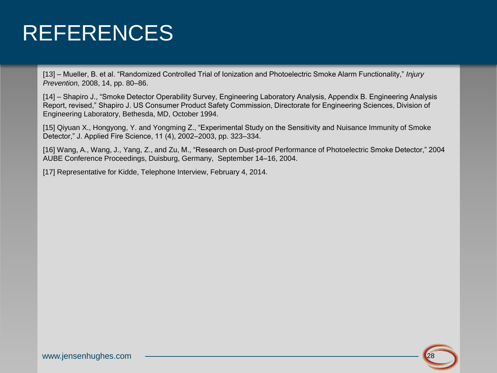### REFERENCES

[13] – Mueller, B. et al. "Randomized Controlled Trial of Ionization and Photoelectric Smoke Alarm Functionality," *Injury Prevention,* 2008, 14, pp. 80–86.

[14] – Shapiro J., "Smoke Detector Operability Survey, Engineering Laboratory Analysis, Appendix B. Engineering Analysis Report, revised," Shapiro J. US Consumer Product Safety Commission, Directorate for Engineering Sciences, Division of Engineering Laboratory, Bethesda, MD, October 1994.

[15] Qiyuan X., Hongyong, Y. and Yongming Z., "Experimental Study on the Sensitivity and Nuisance Immunity of Smoke Detector," J. Applied Fire Science, 11 (4), 2002–2003, pp. 323–334.

[16] Wang, A., Wang, J., Yang, Z., and Zu, M., "Research on Dust-proof Performance of Photoelectric Smoke Detector," 2004 AUBE Conference Proceedings, Duisburg, Germany, September 14–16, 2004.

[17] Representative for Kidde, Telephone Interview, February 4, 2014.